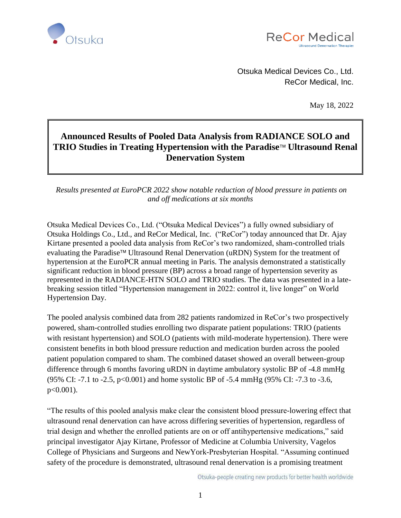



Otsuka Medical Devices Co., Ltd. ReCor Medical, Inc.

May 18, 2022

## **Announced Results of Pooled Data Analysis from RADIANCE SOLO and TRIO Studies in Treating Hypertension with the Paradise™ Ultrasound Renal Denervation System**

*Results presented at EuroPCR 2022 show notable reduction of blood pressure in patients on and off medications at six months*

Otsuka Medical Devices Co., Ltd. ("Otsuka Medical Devices") a fully owned subsidiary of Otsuka Holdings Co., Ltd., and ReCor Medical, Inc. ("ReCor") today announced that Dr. Ajay Kirtane presented a pooled data analysis from ReCor's two randomized, sham-controlled trials evaluating the Paradise<sup>TM</sup> Ultrasound Renal Denervation (uRDN) System for the treatment of hypertension at the EuroPCR annual meeting in Paris. The analysis demonstrated a statistically significant reduction in blood pressure (BP) across a broad range of hypertension severity as represented in the RADIANCE-HTN SOLO and TRIO studies. The data was presented in a latebreaking session titled "Hypertension management in 2022: control it, live longer" on World Hypertension Day.

The pooled analysis combined data from 282 patients randomized in ReCor's two prospectively powered, sham-controlled studies enrolling two disparate patient populations: TRIO (patients with resistant hypertension) and SOLO (patients with mild-moderate hypertension). There were consistent benefits in both blood pressure reduction and medication burden across the pooled patient population compared to sham. The combined dataset showed an overall between-group difference through 6 months favoring uRDN in daytime ambulatory systolic BP of -4.8 mmHg (95% CI: -7.1 to -2.5, p<0.001) and home systolic BP of -5.4 mmHg (95% CI: -7.3 to -3.6, p<0.001).

"The results of this pooled analysis make clear the consistent blood pressure-lowering effect that ultrasound renal denervation can have across differing severities of hypertension, regardless of trial design and whether the enrolled patients are on or off antihypertensive medications," said principal investigator Ajay Kirtane, Professor of Medicine at Columbia University, Vagelos College of Physicians and Surgeons and NewYork-Presbyterian Hospital. "Assuming continued safety of the procedure is demonstrated, ultrasound renal denervation is a promising treatment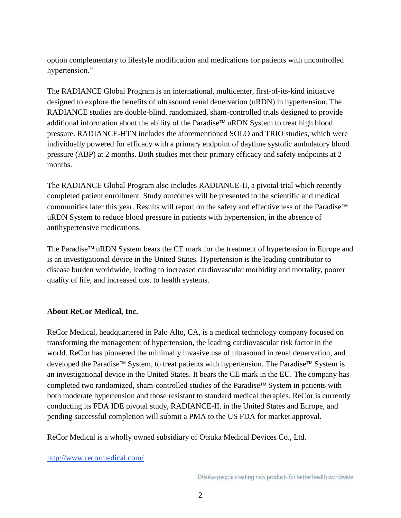option complementary to lifestyle modification and medications for patients with uncontrolled hypertension."

The RADIANCE Global Program is an international, multicenter, first-of-its-kind initiative designed to explore the benefits of ultrasound renal denervation (uRDN) in hypertension. The RADIANCE studies are double-blind, randomized, sham-controlled trials designed to provide additional information about the ability of the Paradise<sup> $TM$ </sup> uRDN System to treat high blood pressure. RADIANCE-HTN includes the aforementioned SOLO and TRIO studies, which were individually powered for efficacy with a primary endpoint of daytime systolic ambulatory blood pressure (ABP) at 2 months. Both studies met their primary efficacy and safety endpoints at 2 months.

The RADIANCE Global Program also includes RADIANCE-II, a pivotal trial which recently completed patient enrollment. Study outcomes will be presented to the scientific and medical communities later this year. Results will report on the safety and effectiveness of the Paradise uRDN System to reduce blood pressure in patients with hypertension, in the absence of antihypertensive medications.

The Paradise<sup> $TM$ </sup> uRDN System bears the CE mark for the treatment of hypertension in Europe and is an investigational device in the United States. Hypertension is the leading contributor to disease burden worldwide, leading to increased cardiovascular morbidity and mortality, poorer quality of life, and increased cost to health systems.

## **About ReCor Medical, Inc.**

ReCor Medical, headquartered in Palo Alto, CA, is a medical technology company focused on transforming the management of hypertension, the leading cardiovascular risk factor in the world. ReCor has pioneered the minimally invasive use of ultrasound in renal denervation, and developed the Paradise<sup> $\text{TM}$ </sup> System, to treat patients with hypertension. The Paradise<sup> $\text{TM}$ </sup> System is an investigational device in the United States. It bears the CE mark in the EU. The company has completed two randomized, sham-controlled studies of the Paradise<sup> $\text{TM}$ </sup> System in patients with both moderate hypertension and those resistant to standard medical therapies. ReCor is currently conducting its FDA IDE pivotal study, RADIANCE-II, in the United States and Europe, and pending successful completion will submit a PMA to the US FDA for market approval.

ReCor Medical is a wholly owned subsidiary of Otsuka Medical Devices Co., Ltd.

<http://www.recormedical.com/>